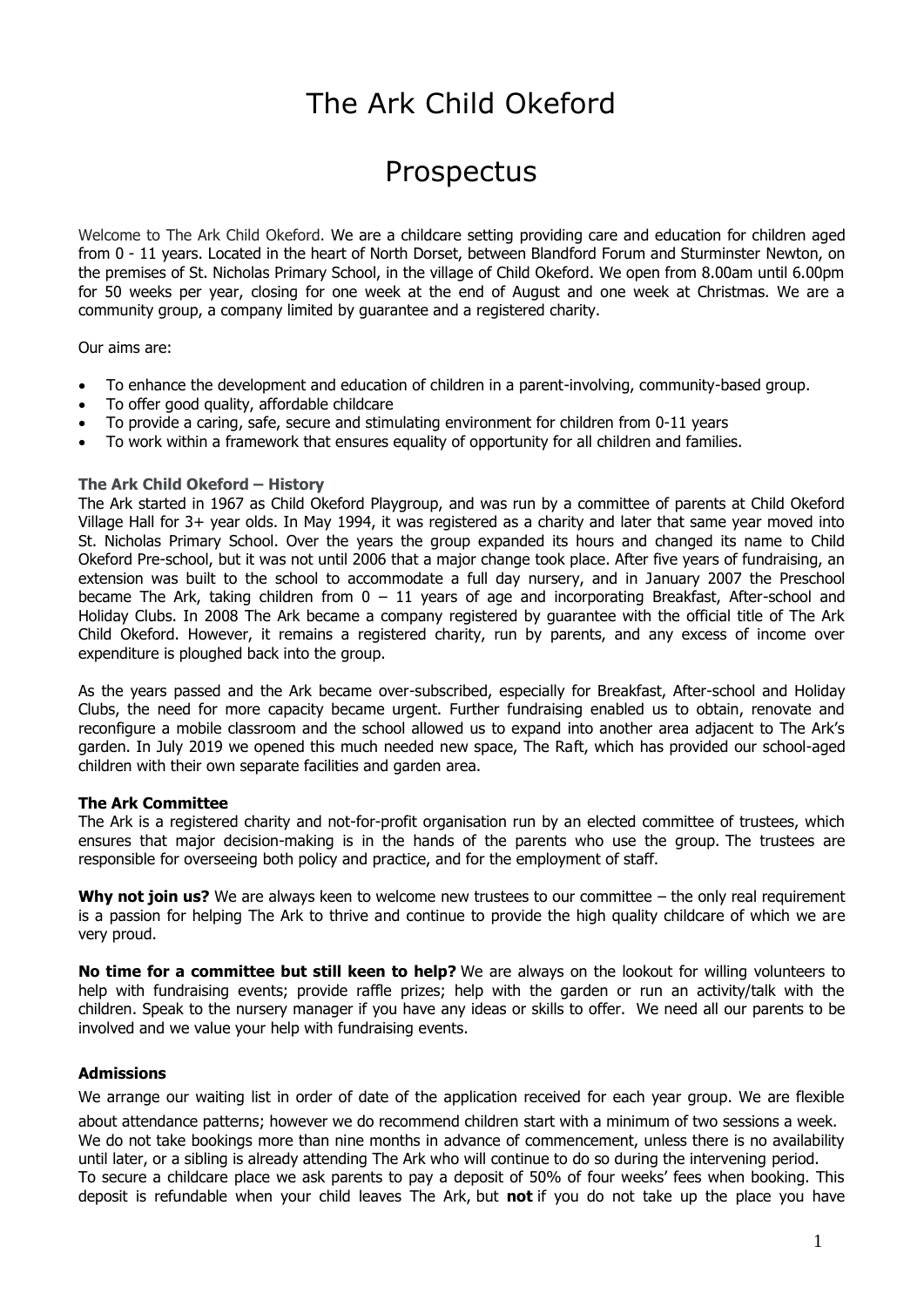# The Ark Child Okeford

## Prospectus

Welcome to The Ark Child Okeford. We are a childcare setting providing care and education for children aged from 0 - 11 years. Located in the heart of North Dorset, between Blandford Forum and Sturminster Newton, on the premises of St. Nicholas Primary School, in the village of Child Okeford. We open from 8.00am until 6.00pm for 50 weeks per year, closing for one week at the end of August and one week at Christmas. We are a community group, a company limited by guarantee and a registered charity.

Our aims are:

- To enhance the development and education of children in a parent-involving, community-based group.
- To offer good quality, affordable childcare
- To provide a caring, safe, secure and stimulating environment for children from 0-11 years
- To work within a framework that ensures equality of opportunity for all children and families.

#### **The Ark Child Okeford – History**

The Ark started in 1967 as Child Okeford Playgroup, and was run by a committee of parents at Child Okeford Village Hall for 3+ year olds. In May 1994, it was registered as a charity and later that same year moved into St. Nicholas Primary School. Over the years the group expanded its hours and changed its name to Child Okeford Pre-school, but it was not until 2006 that a major change took place. After five years of fundraising, an extension was built to the school to accommodate a full day nursery, and in January 2007 the Preschool became The Ark, taking children from 0 – 11 years of age and incorporating Breakfast, After-school and Holiday Clubs. In 2008 The Ark became a company registered by guarantee with the official title of The Ark Child Okeford. However, it remains a registered charity, run by parents, and any excess of income over expenditure is ploughed back into the group.

As the years passed and the Ark became over-subscribed, especially for Breakfast, After-school and Holiday Clubs, the need for more capacity became urgent. Further fundraising enabled us to obtain, renovate and reconfigure a mobile classroom and the school allowed us to expand into another area adjacent to The Ark's garden. In July 2019 we opened this much needed new space, The Raft, which has provided our school-aged children with their own separate facilities and garden area.

#### **The Ark Committee**

The Ark is a registered charity and not-for-profit organisation run by an elected committee of trustees, which ensures that major decision-making is in the hands of the parents who use the group. The trustees are responsible for overseeing both policy and practice, and for the employment of staff.

**Why not join us?** We are always keen to welcome new trustees to our committee – the only real requirement is a passion for helping The Ark to thrive and continue to provide the high quality childcare of which we are very proud.

**No time for a committee but still keen to help?** We are always on the lookout for willing volunteers to help with fundraising events; provide raffle prizes; help with the garden or run an activity/talk with the children. Speak to the nursery manager if you have any ideas or skills to offer. We need all our parents to be involved and we value your help with fundraising events.

#### **Admissions**

We arrange our waiting list in order of date of the application received for each year group. We are flexible

about attendance patterns; however we do recommend children start with a minimum of two sessions a week. We do not take bookings more than nine months in advance of commencement, unless there is no availability until later, or a sibling is already attending The Ark who will continue to do so during the intervening period. To secure a childcare place we ask parents to pay a deposit of 50% of four weeks' fees when booking. This deposit is refundable when your child leaves The Ark, but **not** if you do not take up the place you have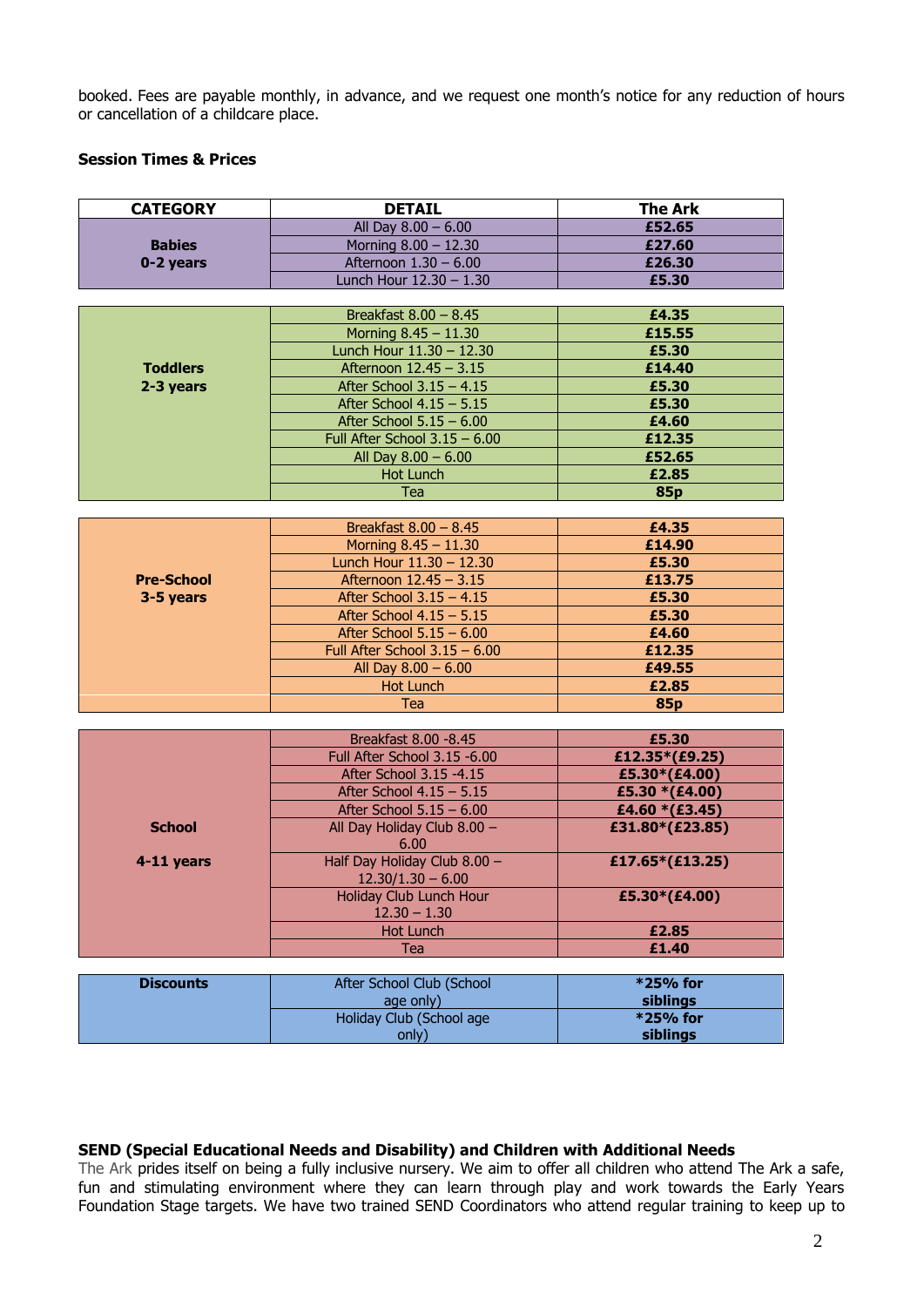booked. Fees are payable monthly, in advance, and we request one month's notice for any reduction of hours or cancellation of a childcare place.

#### **Session Times & Prices**

| <b>CATEGORY</b>   | <b>DETAIL</b>                   | <b>The Ark</b> |
|-------------------|---------------------------------|----------------|
|                   | All Day $8.00 - 6.00$           | £52.65         |
| <b>Babies</b>     | Morning $8.00 - 12.30$          | £27.60         |
| 0-2 years         | Afternoon 1.30 - 6.00           | £26.30         |
|                   | Lunch Hour 12.30 - 1.30         | £5.30          |
|                   |                                 |                |
|                   | Breakfast $8.00 - 8.45$         | £4.35          |
|                   | Morning $8.45 - 11.30$          | £15.55         |
|                   | Lunch Hour 11.30 - 12.30        | £5.30          |
| <b>Toddlers</b>   | Afternoon 12.45 - 3.15          | £14.40         |
| 2-3 years         | After School $3.15 - 4.15$      | £5.30          |
|                   | After School $4.15 - 5.15$      | £5.30          |
|                   | After School $5.15 - 6.00$      | £4.60          |
|                   | Full After School $3.15 - 6.00$ | £12.35         |
|                   | All Day 8.00 - 6.00             | £52.65         |
|                   | <b>Hot Lunch</b>                | £2.85          |
|                   | <b>Tea</b>                      | 85p            |
|                   |                                 |                |
|                   | Breakfast $8.00 - 8.45$         | £4.35          |
|                   | Morning $8.45 - 11.30$          | £14.90         |
|                   | Lunch Hour 11.30 - 12.30        | £5.30          |
| <b>Pre-School</b> | Afternoon 12.45 - 3.15          | £13.75         |
| 3-5 years         | After School $3.15 - 4.15$      | £5.30          |
|                   | After School $4.15 - 5.15$      | £5.30          |
|                   | After School $5.15 - 6.00$      | £4.60          |
|                   | Full After School $3.15 - 6.00$ | £12.35         |
|                   | All Day $8.00 - 6.00$           | £49.55         |
|                   | <b>Hot Lunch</b>                | £2.85          |
|                   | <b>Tea</b>                      | <b>85p</b>     |

|               | Breakfast 8.00 - 8.45        | £5.30           |
|---------------|------------------------------|-----------------|
|               | Full After School 3.15 -6.00 | £12.35*(£9.25)  |
|               | After School 3.15 -4.15      | £5.30*(£4.00)   |
|               | After School $4.15 - 5.15$   | £5.30 *(£4.00)  |
|               | After School $5.15 - 6.00$   | £4.60 *(£3.45)  |
| <b>School</b> | All Day Holiday Club 8.00 -  | £31.80*(£23.85) |
|               | 6.00                         |                 |
| 4-11 years    | Half Day Holiday Club 8.00 - | £17.65*(£13.25) |
|               | $12.30/1.30 - 6.00$          |                 |
|               | Holiday Club Lunch Hour      | £5.30*(£4.00)   |
|               | $12.30 - 1.30$               |                 |
|               | Hot Lunch                    | £2.85           |
|               | Tea                          | £1.40           |

| <b>Discounts</b> | After School Club (School | $*25%$ for |
|------------------|---------------------------|------------|
|                  | age only)                 | siblings   |
|                  | Holiday Club (School age  | $*25%$ for |
|                  | only)                     | siblings   |

#### **SEND (Special Educational Needs and Disability) and Children with Additional Needs**

The Ark prides itself on being a fully inclusive nursery. We aim to offer all children who attend The Ark a safe, fun and stimulating environment where they can learn through play and work towards the Early Years Foundation Stage targets. We have two trained SEND Coordinators who attend regular training to keep up to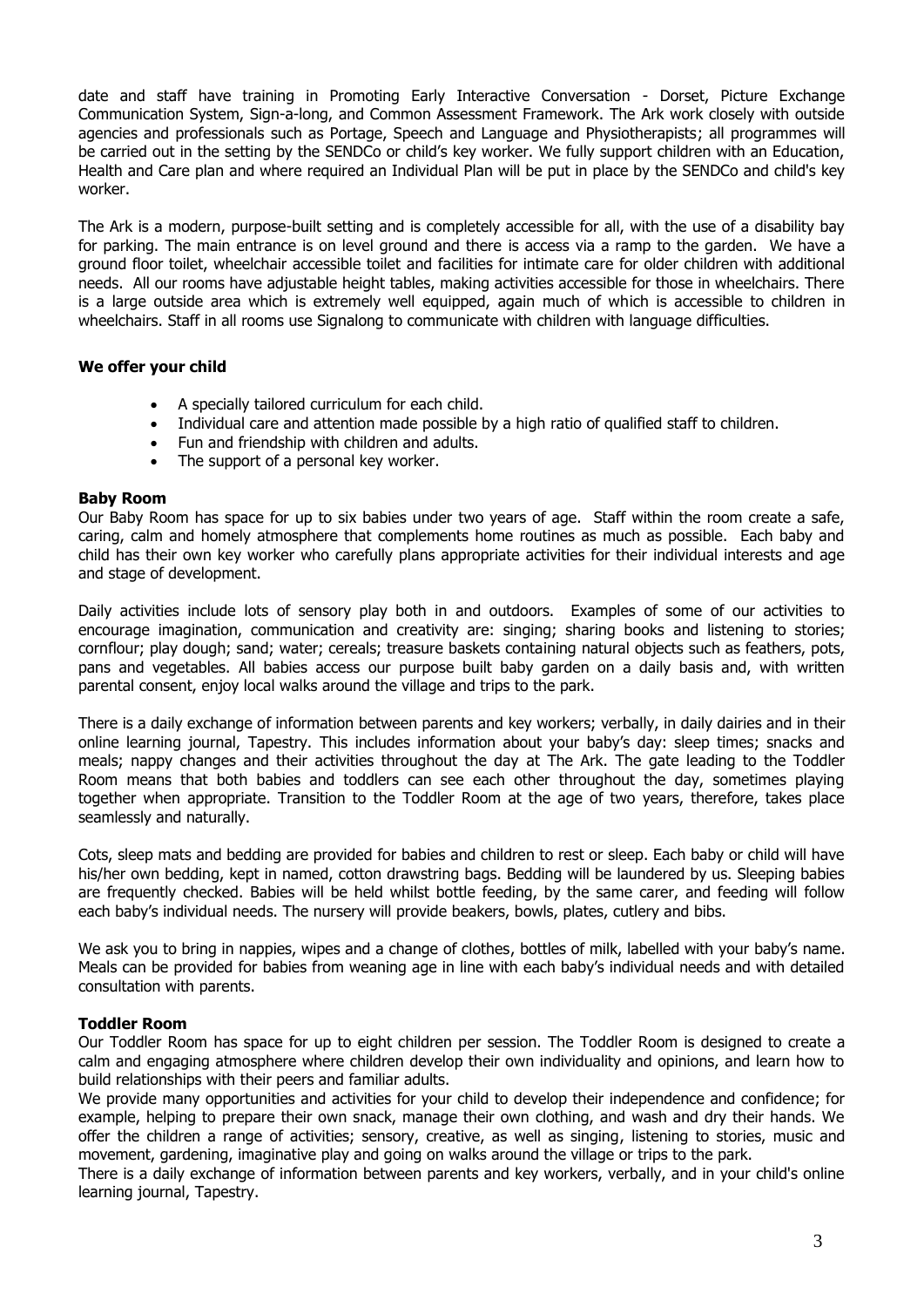date and staff have training in Promoting Early Interactive Conversation - Dorset, Picture Exchange Communication System, Sign-a-long, and Common Assessment Framework. The Ark work closely with outside agencies and professionals such as Portage, Speech and Language and Physiotherapists; all programmes will be carried out in the setting by the SENDCo or child's key worker. We fully support children with an Education, Health and Care plan and where required an Individual Plan will be put in place by the SENDCo and child's key worker.

The Ark is a modern, purpose-built setting and is completely accessible for all, with the use of a disability bay for parking. The main entrance is on level ground and there is access via a ramp to the garden. We have a ground floor toilet, wheelchair accessible toilet and facilities for intimate care for older children with additional needs. All our rooms have adjustable height tables, making activities accessible for those in wheelchairs. There is a large outside area which is extremely well equipped, again much of which is accessible to children in wheelchairs. Staff in all rooms use Signalong to communicate with children with language difficulties.

#### **We offer your child**

- A specially tailored curriculum for each child.
- Individual care and attention made possible by a high ratio of qualified staff to children.
- Fun and friendship with children and adults.
- The support of a personal key worker.

#### **Baby Room**

Our Baby Room has space for up to six babies under two years of age. Staff within the room create a safe, caring, calm and homely atmosphere that complements home routines as much as possible. Each baby and child has their own key worker who carefully plans appropriate activities for their individual interests and age and stage of development.

Daily activities include lots of sensory play both in and outdoors. Examples of some of our activities to encourage imagination, communication and creativity are: singing; sharing books and listening to stories; cornflour; play dough; sand; water; cereals; treasure baskets containing natural objects such as feathers, pots, pans and vegetables. All babies access our purpose built baby garden on a daily basis and, with written parental consent, enjoy local walks around the village and trips to the park.

There is a daily exchange of information between parents and key workers; verbally, in daily dairies and in their online learning journal, Tapestry. This includes information about your baby's day: sleep times; snacks and meals; nappy changes and their activities throughout the day at The Ark. The gate leading to the Toddler Room means that both babies and toddlers can see each other throughout the day, sometimes playing together when appropriate. Transition to the Toddler Room at the age of two years, therefore, takes place seamlessly and naturally.

Cots, sleep mats and bedding are provided for babies and children to rest or sleep. Each baby or child will have his/her own bedding, kept in named, cotton drawstring bags. Bedding will be laundered by us. Sleeping babies are frequently checked. Babies will be held whilst bottle feeding, by the same carer, and feeding will follow each baby's individual needs. The nursery will provide beakers, bowls, plates, cutlery and bibs.

We ask you to bring in nappies, wipes and a change of clothes, bottles of milk, labelled with your baby's name. Meals can be provided for babies from weaning age in line with each baby's individual needs and with detailed consultation with parents.

#### **Toddler Room**

Our Toddler Room has space for up to eight children per session. The Toddler Room is designed to create a calm and engaging atmosphere where children develop their own individuality and opinions, and learn how to build relationships with their peers and familiar adults.

We provide many opportunities and activities for your child to develop their independence and confidence; for example, helping to prepare their own snack, manage their own clothing, and wash and dry their hands. We offer the children a range of activities; sensory, creative, as well as singing, listening to stories, music and movement, gardening, imaginative play and going on walks around the village or trips to the park.

There is a daily exchange of information between parents and key workers, verbally, and in your child's online learning journal, Tapestry.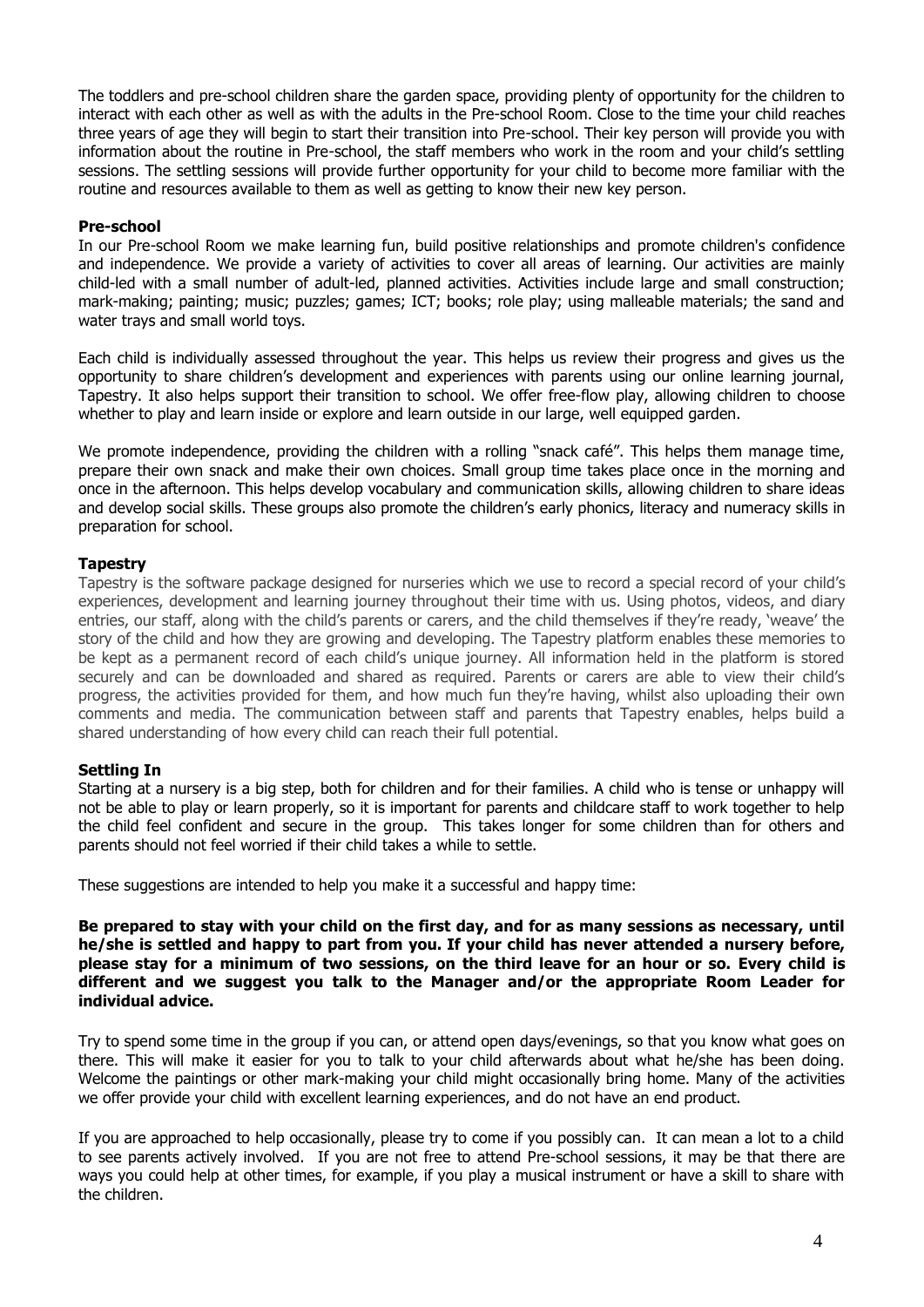The toddlers and pre-school children share the garden space, providing plenty of opportunity for the children to interact with each other as well as with the adults in the Pre-school Room. Close to the time your child reaches three years of age they will begin to start their transition into Pre-school. Their key person will provide you with information about the routine in Pre-school, the staff members who work in the room and your child's settling sessions. The settling sessions will provide further opportunity for your child to become more familiar with the routine and resources available to them as well as getting to know their new key person.

#### **Pre-school**

In our Pre-school Room we make learning fun, build positive relationships and promote children's confidence and independence. We provide a variety of activities to cover all areas of learning. Our activities are mainly child-led with a small number of adult-led, planned activities. Activities include large and small construction; mark-making; painting; music; puzzles; games; ICT; books; role play; using malleable materials; the sand and water trays and small world toys.

Each child is individually assessed throughout the year. This helps us review their progress and gives us the opportunity to share children's development and experiences with parents using our online learning journal, Tapestry. It also helps support their transition to school. We offer free-flow play, allowing children to choose whether to play and learn inside or explore and learn outside in our large, well equipped garden.

We promote independence, providing the children with a rolling "snack café". This helps them manage time, prepare their own snack and make their own choices. Small group time takes place once in the morning and once in the afternoon. This helps develop vocabulary and communication skills, allowing children to share ideas and develop social skills. These groups also promote the children's early phonics, literacy and numeracy skills in preparation for school.

#### **Tapestry**

Tapestry is the software package designed for nurseries which we use to record a special record of your child's experiences, development and learning journey throughout their time with us. Using photos, videos, and diary entries, our staff, along with the child's parents or carers, and the child themselves if they're ready, 'weave' the story of the child and how they are growing and developing. The Tapestry platform enables these memories to be kept as a permanent record of each child's unique journey. All information held in the platform is stored securely and can be downloaded and shared as required. Parents or carers are able to view their child's progress, the activities provided for them, and how much fun they're having, whilst also uploading their own comments and media. The communication between staff and parents that Tapestry enables, helps build a shared understanding of how every child can reach their full potential.

#### **Settling In**

Starting at a nursery is a big step, both for children and for their families. A child who is tense or unhappy will not be able to play or learn properly, so it is important for parents and childcare staff to work together to help the child feel confident and secure in the group. This takes longer for some children than for others and parents should not feel worried if their child takes a while to settle.

These suggestions are intended to help you make it a successful and happy time:

**Be prepared to stay with your child on the first day, and for as many sessions as necessary, until he/she is settled and happy to part from you. If your child has never attended a nursery before, please stay for a minimum of two sessions, on the third leave for an hour or so. Every child is different and we suggest you talk to the Manager and/or the appropriate Room Leader for individual advice.**

Try to spend some time in the group if you can, or attend open days/evenings, so that you know what goes on there. This will make it easier for you to talk to your child afterwards about what he/she has been doing. Welcome the paintings or other mark-making your child might occasionally bring home. Many of the activities we offer provide your child with excellent learning experiences, and do not have an end product.

If you are approached to help occasionally, please try to come if you possibly can. It can mean a lot to a child to see parents actively involved. If you are not free to attend Pre-school sessions, it may be that there are ways you could help at other times, for example, if you play a musical instrument or have a skill to share with the children.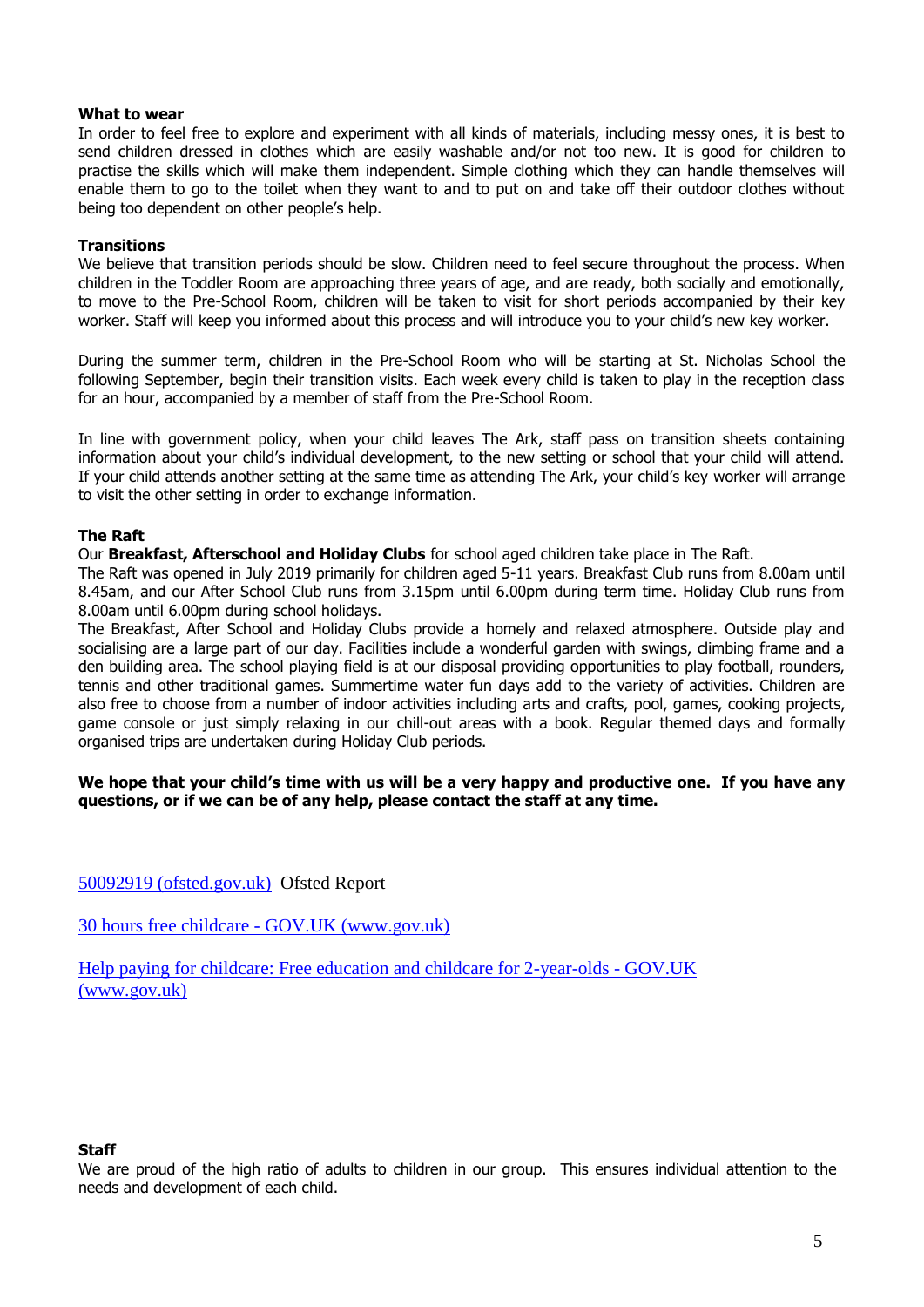#### **What to wear**

In order to feel free to explore and experiment with all kinds of materials, including messy ones, it is best to send children dressed in clothes which are easily washable and/or not too new. It is good for children to practise the skills which will make them independent. Simple clothing which they can handle themselves will enable them to go to the toilet when they want to and to put on and take off their outdoor clothes without being too dependent on other people's help.

#### **Transitions**

We believe that transition periods should be slow. Children need to feel secure throughout the process. When children in the Toddler Room are approaching three years of age, and are ready, both socially and emotionally, to move to the Pre-School Room, children will be taken to visit for short periods accompanied by their key worker. Staff will keep you informed about this process and will introduce you to your child's new key worker.

During the summer term, children in the Pre-School Room who will be starting at St. Nicholas School the following September, begin their transition visits. Each week every child is taken to play in the reception class for an hour, accompanied by a member of staff from the Pre-School Room.

In line with government policy, when your child leaves The Ark, staff pass on transition sheets containing information about your child's individual development, to the new setting or school that your child will attend. If your child attends another setting at the same time as attending The Ark, your child's key worker will arrange to visit the other setting in order to exchange information.

#### **The Raft**

Our **Breakfast, Afterschool and Holiday Clubs** for school aged children take place in The Raft.

The Raft was opened in July 2019 primarily for children aged 5-11 years. Breakfast Club runs from 8.00am until 8.45am, and our After School Club runs from 3.15pm until 6.00pm during term time. Holiday Club runs from 8.00am until 6.00pm during school holidays.

The Breakfast, After School and Holiday Clubs provide a homely and relaxed atmosphere. Outside play and socialising are a large part of our day. Facilities include a wonderful garden with swings, climbing frame and a den building area. The school playing field is at our disposal providing opportunities to play football, rounders, tennis and other traditional games. Summertime water fun days add to the variety of activities. Children are also free to choose from a number of indoor activities including arts and crafts, pool, games, cooking projects, game console or just simply relaxing in our chill-out areas with a book. Regular themed days and formally organised trips are undertaken during Holiday Club periods.

#### **We hope that your child's time with us will be a very happy and productive one. If you have any questions, or if we can be of any help, please contact the staff at any time.**

[50092919 \(ofsted.gov.uk\)](https://files.ofsted.gov.uk/v1/file/50092919) Ofsted Report

30 hours free childcare - [GOV.UK \(www.gov.uk\)](https://www.gov.uk/30-hours-free-childcare)

[Help paying for childcare: Free education and childcare for 2-year-olds -](https://www.gov.uk/help-with-childcare-costs/free-childcare-2-year-olds) GOV.UK [\(www.gov.uk\)](https://www.gov.uk/help-with-childcare-costs/free-childcare-2-year-olds)

#### **Staff**

We are proud of the high ratio of adults to children in our group. This ensures individual attention to the needs and development of each child.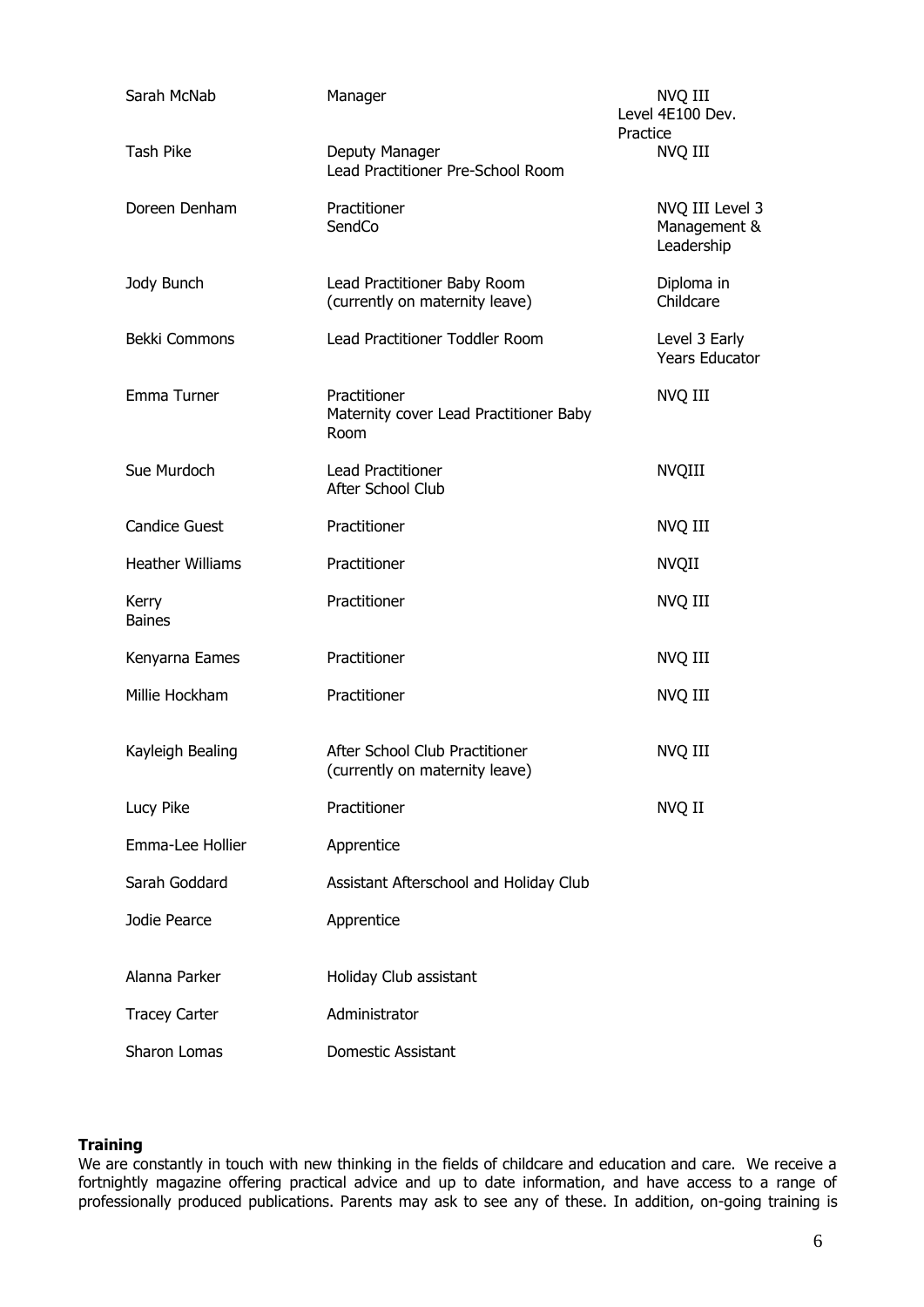| Sarah McNab             | Manager                                                          | NVQ III<br>Level 4E100 Dev.<br>Practice       |
|-------------------------|------------------------------------------------------------------|-----------------------------------------------|
| <b>Tash Pike</b>        | Deputy Manager<br>Lead Practitioner Pre-School Room              | NVQ III                                       |
| Doreen Denham           | Practitioner<br>SendCo                                           | NVQ III Level 3<br>Management &<br>Leadership |
| Jody Bunch              | Lead Practitioner Baby Room<br>(currently on maternity leave)    | Diploma in<br>Childcare                       |
| Bekki Commons           | Lead Practitioner Toddler Room                                   | Level 3 Early<br><b>Years Educator</b>        |
| Emma Turner             | Practitioner<br>Maternity cover Lead Practitioner Baby<br>Room   | NVQ III                                       |
| Sue Murdoch             | <b>Lead Practitioner</b><br>After School Club                    | <b>NVQIII</b>                                 |
| <b>Candice Guest</b>    | Practitioner                                                     | NVQ III                                       |
| <b>Heather Williams</b> | Practitioner                                                     | <b>NVQII</b>                                  |
| Kerry<br><b>Baines</b>  | Practitioner                                                     | NVQ III                                       |
| Kenyarna Eames          | Practitioner                                                     | NVQ III                                       |
| Millie Hockham          | Practitioner                                                     | NVQ III                                       |
| Kayleigh Bealing        | After School Club Practitioner<br>(currently on maternity leave) | NVQ III                                       |
| Lucy Pike               | Practitioner                                                     | NVQ II                                        |
| Emma-Lee Hollier        | Apprentice                                                       |                                               |
| Sarah Goddard           | Assistant Afterschool and Holiday Club                           |                                               |
| Jodie Pearce            | Apprentice                                                       |                                               |
| Alanna Parker           | Holiday Club assistant                                           |                                               |
| <b>Tracey Carter</b>    | Administrator                                                    |                                               |
| Sharon Lomas            | Domestic Assistant                                               |                                               |

#### **Training**

We are constantly in touch with new thinking in the fields of childcare and education and care. We receive a fortnightly magazine offering practical advice and up to date information, and have access to a range of professionally produced publications. Parents may ask to see any of these. In addition, on-going training is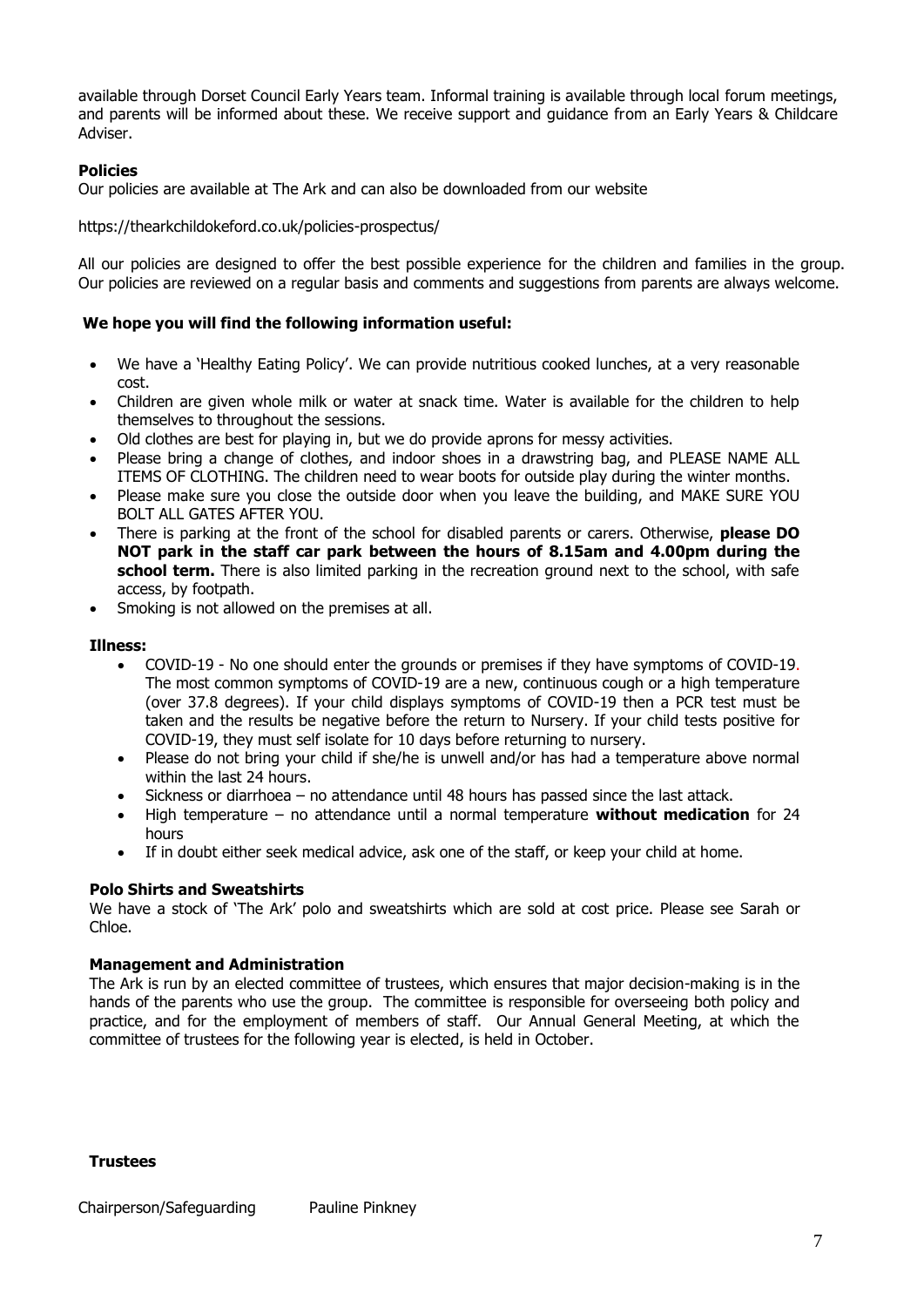available through Dorset Council Early Years team. Informal training is available through local forum meetings, and parents will be informed about these. We receive support and guidance from an Early Years & Childcare Adviser.

#### **Policies**

Our policies are available at The Ark and can also be downloaded from our website

https://thearkchildokeford.co.uk/policies-prospectus/

All our policies are designed to offer the best possible experience for the children and families in the group. Our policies are reviewed on a regular basis and comments and suggestions from parents are always welcome.

#### **We hope you will find the following information useful:**

- We have a 'Healthy Eating Policy'. We can provide nutritious cooked lunches, at a very reasonable cost.
- Children are given whole milk or water at snack time. Water is available for the children to help themselves to throughout the sessions.
- Old clothes are best for playing in, but we do provide aprons for messy activities.
- Please bring a change of clothes, and indoor shoes in a drawstring bag, and PLEASE NAME ALL ITEMS OF CLOTHING. The children need to wear boots for outside play during the winter months.
- Please make sure you close the outside door when you leave the building, and MAKE SURE YOU BOLT ALL GATES AFTER YOU.
- There is parking at the front of the school for disabled parents or carers. Otherwise, **please DO NOT park in the staff car park between the hours of 8.15am and 4.00pm during the school term.** There is also limited parking in the recreation ground next to the school, with safe access, by footpath.
- Smoking is not allowed on the premises at all.

#### **Illness:**

- COVID-19 No one should enter the grounds or premises if they have symptoms of COVID-19. The most common symptoms of COVID-19 are a new, continuous cough or a high temperature (over 37.8 degrees). If your child displays symptoms of COVID-19 then a PCR test must be taken and the results be negative before the return to Nursery. If your child tests positive for COVID-19, they must self isolate for 10 days before returning to nursery.
- Please do not bring your child if she/he is unwell and/or has had a temperature above normal within the last 24 hours.
- Sickness or diarrhoea no attendance until 48 hours has passed since the last attack.
- High temperature no attendance until a normal temperature **without medication** for 24 hours
- If in doubt either seek medical advice, ask one of the staff, or keep your child at home.

#### **Polo Shirts and Sweatshirts**

We have a stock of 'The Ark' polo and sweatshirts which are sold at cost price. Please see Sarah or Chloe.

#### **Management and Administration**

The Ark is run by an elected committee of trustees, which ensures that major decision-making is in the hands of the parents who use the group. The committee is responsible for overseeing both policy and practice, and for the employment of members of staff. Our Annual General Meeting, at which the committee of trustees for the following year is elected, is held in October.

#### **Trustees**